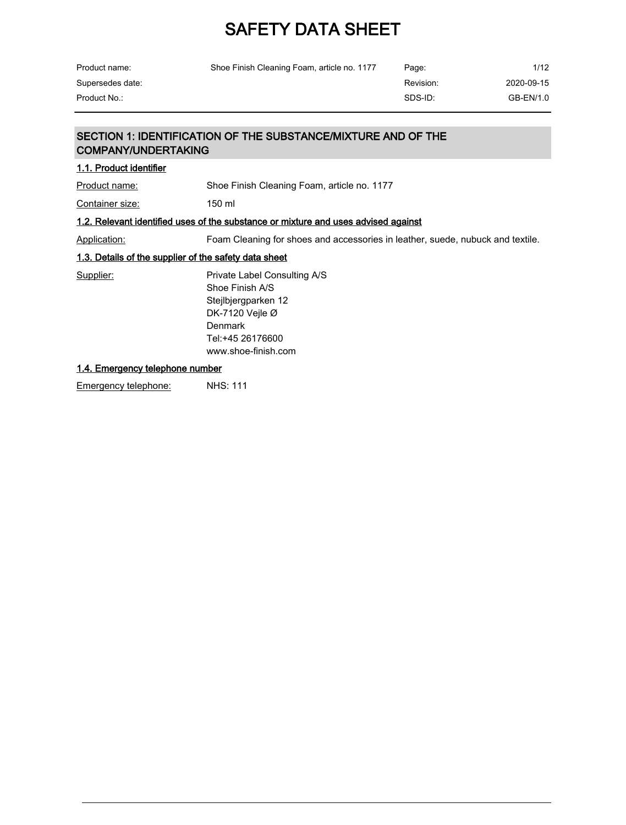| Product name:                                         | Shoe Finish Cleaning Foam, article no. 1177                                                                                                                 | Page:     | 1/12       |  |
|-------------------------------------------------------|-------------------------------------------------------------------------------------------------------------------------------------------------------------|-----------|------------|--|
| Supersedes date:                                      |                                                                                                                                                             | Revision: | 2020-09-15 |  |
| Product No.:                                          |                                                                                                                                                             | SDS-ID:   | GB-EN/1.0  |  |
|                                                       |                                                                                                                                                             |           |            |  |
| <b>COMPANY/UNDERTAKING</b>                            | SECTION 1: IDENTIFICATION OF THE SUBSTANCE/MIXTURE AND OF THE                                                                                               |           |            |  |
| 1.1. Product identifier                               |                                                                                                                                                             |           |            |  |
| Product name:                                         | Shoe Finish Cleaning Foam, article no. 1177                                                                                                                 |           |            |  |
| Container size:                                       | $150$ ml                                                                                                                                                    |           |            |  |
|                                                       | 1.2. Relevant identified uses of the substance or mixture and uses advised against                                                                          |           |            |  |
| Application:                                          | Foam Cleaning for shoes and accessories in leather, suede, nubuck and textile.                                                                              |           |            |  |
| 1.3. Details of the supplier of the safety data sheet |                                                                                                                                                             |           |            |  |
| Supplier:                                             | Private Label Consulting A/S<br>Shoe Finish A/S<br>Stejlbjergparken 12<br>DK-7120 Vejle $\varnothing$<br>Denmark<br>Tel:+45 26176600<br>www.shoe-finish.com |           |            |  |
| 1.4. Emergency telephone number                       |                                                                                                                                                             |           |            |  |

Emergency telephone: NHS: 111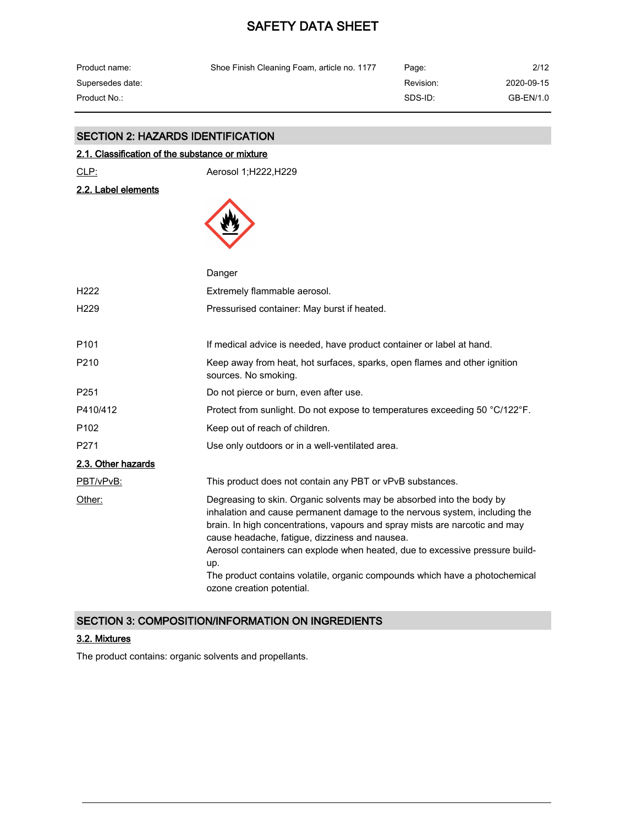| Product name:    | Shoe Finish Cleaning Foam, article no. 1177 | Page:     | 2/12       |
|------------------|---------------------------------------------|-----------|------------|
| Supersedes date: |                                             | Revision: | 2020-09-15 |
| Product No.: .   |                                             | SDS-ID:   | GB-EN/1.0  |

# SECTION 2: HAZARDS IDENTIFICATION

## 2.1. Classification of the substance or mixture

CLP: Aerosol 1;H222,H229

2.2. Label elements



|                    | Danger                                                                                                                                                                                                                                                                                                                                                                                                                                                                                  |
|--------------------|-----------------------------------------------------------------------------------------------------------------------------------------------------------------------------------------------------------------------------------------------------------------------------------------------------------------------------------------------------------------------------------------------------------------------------------------------------------------------------------------|
| H <sub>222</sub>   | Extremely flammable aerosol.                                                                                                                                                                                                                                                                                                                                                                                                                                                            |
| H <sub>229</sub>   | Pressurised container: May burst if heated.                                                                                                                                                                                                                                                                                                                                                                                                                                             |
| P <sub>101</sub>   | If medical advice is needed, have product container or label at hand.                                                                                                                                                                                                                                                                                                                                                                                                                   |
| P210               | Keep away from heat, hot surfaces, sparks, open flames and other ignition<br>sources. No smoking.                                                                                                                                                                                                                                                                                                                                                                                       |
| P <sub>251</sub>   | Do not pierce or burn, even after use.                                                                                                                                                                                                                                                                                                                                                                                                                                                  |
| P410/412           | Protect from sunlight. Do not expose to temperatures exceeding 50 °C/122°F.                                                                                                                                                                                                                                                                                                                                                                                                             |
| P <sub>102</sub>   | Keep out of reach of children.                                                                                                                                                                                                                                                                                                                                                                                                                                                          |
| P <sub>271</sub>   | Use only outdoors or in a well-ventilated area.                                                                                                                                                                                                                                                                                                                                                                                                                                         |
| 2.3. Other hazards |                                                                                                                                                                                                                                                                                                                                                                                                                                                                                         |
| PBT/vPvB:          | This product does not contain any PBT or vPvB substances.                                                                                                                                                                                                                                                                                                                                                                                                                               |
| Other:             | Degreasing to skin. Organic solvents may be absorbed into the body by<br>inhalation and cause permanent damage to the nervous system, including the<br>brain. In high concentrations, vapours and spray mists are narcotic and may<br>cause headache, fatigue, dizziness and nausea.<br>Aerosol containers can explode when heated, due to excessive pressure build-<br>up.<br>The product contains volatile, organic compounds which have a photochemical<br>ozone creation potential. |

### SECTION 3: COMPOSITION/INFORMATION ON INGREDIENTS

## 3.2. Mixtures

The product contains: organic solvents and propellants.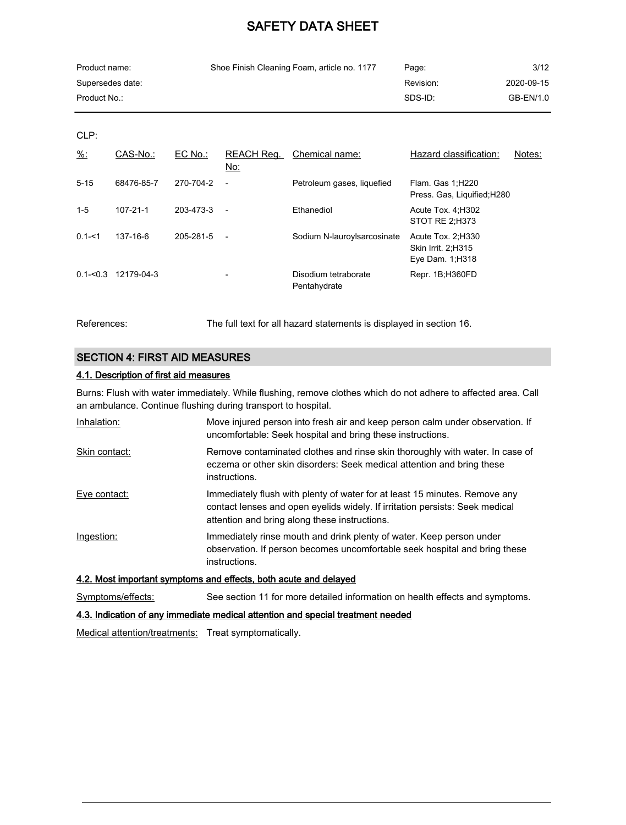| Product name:    | Shoe Finish Cleaning Foam, article no. 1177 | Page:     | 3/12       |
|------------------|---------------------------------------------|-----------|------------|
| Supersedes date: |                                             | Revision: | 2020-09-15 |
| Product No.:     |                                             | SDS-ID:   | GB-EN/1.0  |

CLP:

| $\frac{9}{6}$ : | CAS-No.:   | EC No.:   | REACH Reg.<br>No:        | Chemical name:                       | Hazard classification:                                              | Notes: |
|-----------------|------------|-----------|--------------------------|--------------------------------------|---------------------------------------------------------------------|--------|
| $5 - 15$        | 68476-85-7 | 270-704-2 | $\overline{\phantom{a}}$ | Petroleum gases, liquefied           | Flam. Gas 1; H220<br>Press. Gas, Liquified; H280                    |        |
| $1 - 5$         | 107-21-1   | 203-473-3 | $\overline{\phantom{a}}$ | Ethanediol                           | Acute Tox. 4: H302<br>STOT RE 2;H373                                |        |
| $0.1 - 51$      | 137-16-6   | 205-281-5 | $\overline{\phantom{a}}$ | Sodium N-lauroylsarcosinate          | Acute Tox. 2, H330<br><b>Skin Irrit. 2:H315</b><br>Eye Dam. 1; H318 |        |
| $0.1 - 0.3$     | 12179-04-3 |           |                          | Disodium tetraborate<br>Pentahydrate | Repr. 1B;H360FD                                                     |        |

References: The full text for all hazard statements is displayed in section 16.

## SECTION 4: FIRST AID MEASURES

## 4.1. Description of first aid measures

Burns: Flush with water immediately. While flushing, remove clothes which do not adhere to affected area. Call an ambulance. Continue flushing during transport to hospital.

| Inhalation:       | Move injured person into fresh air and keep person calm under observation. If<br>uncomfortable: Seek hospital and bring these instructions.                                                                 |
|-------------------|-------------------------------------------------------------------------------------------------------------------------------------------------------------------------------------------------------------|
| Skin contact:     | Remove contaminated clothes and rinse skin thoroughly with water. In case of<br>eczema or other skin disorders: Seek medical attention and bring these<br>instructions.                                     |
| Eye contact:      | Immediately flush with plenty of water for at least 15 minutes. Remove any<br>contact lenses and open eyelids widely. If irritation persists: Seek medical<br>attention and bring along these instructions. |
| Ingestion:        | Immediately rinse mouth and drink plenty of water. Keep person under<br>observation. If person becomes uncomfortable seek hospital and bring these<br>instructions.                                         |
|                   | 4.2. Most important symptoms and effects, both acute and delayed                                                                                                                                            |
| Symptoms/effects: | See section 11 for more detailed information on health effects and symptoms.                                                                                                                                |

#### 4.3. Indication of any immediate medical attention and special treatment needed

Medical attention/treatments: Treat symptomatically.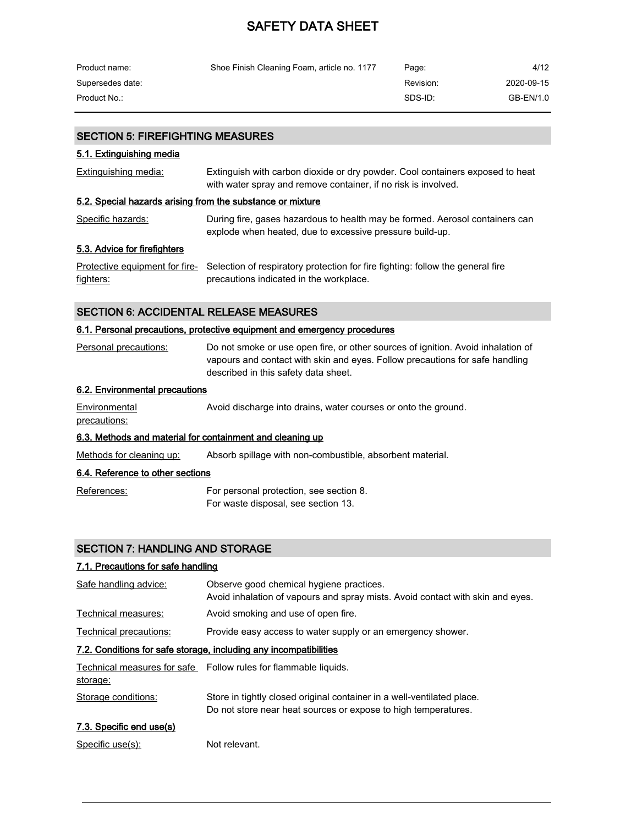| Product name:    | Shoe Finish Cleaning Foam, article no. 1177 | Page:     | 4/12       |
|------------------|---------------------------------------------|-----------|------------|
| Supersedes date: |                                             | Revision: | 2020-09-15 |
| Product No.:     |                                             | SDS-ID:   | GB-EN/1.0  |

#### SECTION 5: FIREFIGHTING MEASURES

#### 5.1. Extinguishing media

| <b>Extinguishing media:</b> | Extinguish with carbon dioxide or dry powder. Cool containers exposed to heat |
|-----------------------------|-------------------------------------------------------------------------------|
|                             | with water spray and remove container, if no risk is involved.                |

#### 5.2. Special hazards arising from the substance or mixture

| <b>Specific hazards:</b> | During fire, gases hazardous to health may be formed. Aerosol containers can |
|--------------------------|------------------------------------------------------------------------------|
|                          | explode when heated, due to excessive pressure build-up.                     |

## 5.3. Advice for firefighters

|           | Protective equipment for fire-<br>Selection of respiratory protection for fire fighting: follow the general fire |
|-----------|------------------------------------------------------------------------------------------------------------------|
| fighters: | precautions indicated in the workplace.                                                                          |

### SECTION 6: ACCIDENTAL RELEASE MEASURES

#### 6.1. Personal precautions, protective equipment and emergency procedures

| Personal precautions: | Do not smoke or use open fire, or other sources of ignition. Avoid inhalation of |
|-----------------------|----------------------------------------------------------------------------------|
|                       | vapours and contact with skin and eyes. Follow precautions for safe handling     |
|                       | described in this safety data sheet.                                             |

## 6.2. Environmental precautions

| Environmental | Avoid discharge into drains, water courses or onto the ground. |  |
|---------------|----------------------------------------------------------------|--|
| precautions:  |                                                                |  |

## 6.3. Methods and material for containment and cleaning up

Methods for cleaning up: Absorb spillage with non-combustible, absorbent material.

#### 6.4. Reference to other sections

References: For personal protection, see section 8. For waste disposal, see section 13.

### SECTION 7: HANDLING AND STORAGE

# 7.1. Precautions for safe handling

| Safe handling advice:                                             | Observe good chemical hygiene practices.<br>Avoid inhalation of vapours and spray mists. Avoid contact with skin and eyes. |  |  |
|-------------------------------------------------------------------|----------------------------------------------------------------------------------------------------------------------------|--|--|
| Technical measures:                                               | Avoid smoking and use of open fire.                                                                                        |  |  |
| Technical precautions:                                            | Provide easy access to water supply or an emergency shower.                                                                |  |  |
| 7.2. Conditions for safe storage, including any incompatibilities |                                                                                                                            |  |  |

| Technical measures for safe | Follow rules for flammable liquids.                                                                                                      |
|-----------------------------|------------------------------------------------------------------------------------------------------------------------------------------|
| storage:                    |                                                                                                                                          |
| Storage conditions:         | Store in tightly closed original container in a well-ventilated place.<br>Do not store near heat sources or expose to high temperatures. |

# 7.3. Specific end use(s)

Specific use(s): Not relevant.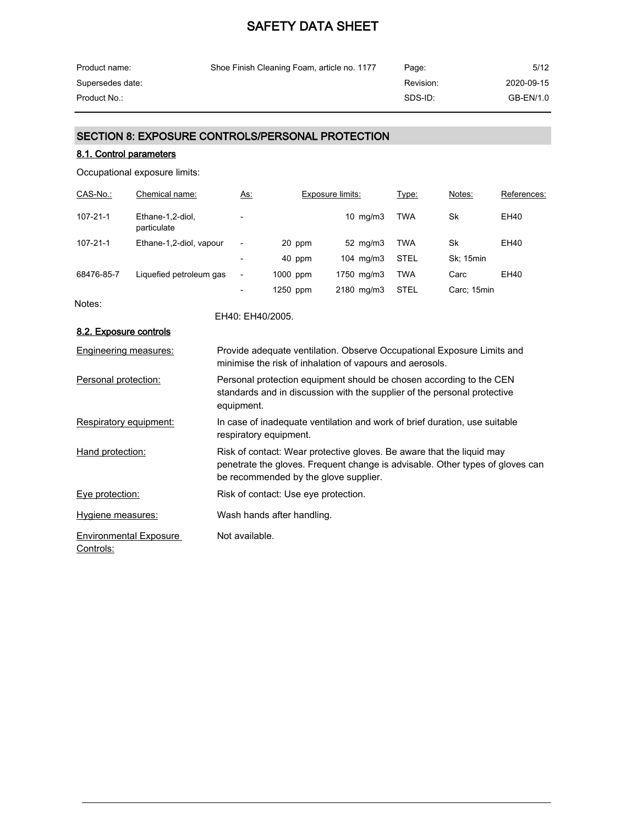| Product name:    | Shoe Finish Cleaning Foam, article no. 1177 | Page:     | 5/12       |
|------------------|---------------------------------------------|-----------|------------|
| Supersedes date: |                                             | Revision: | 2020-09-15 |
| Product No.:     |                                             | SDS-ID:   | GB-EN/1.0  |

# SECTION 8: EXPOSURE CONTROLS/PERSONAL PROTECTION

### 8.1. Control parameters

Occupational exposure limits:

| CAS-No.:   | Chemical name:                  | As:                      |          | Exposure limits:     | Type:      | Notes:           | References: |
|------------|---------------------------------|--------------------------|----------|----------------------|------------|------------------|-------------|
| 107-21-1   | Ethane-1.2-diol.<br>particulate | $\overline{\phantom{a}}$ |          | $10 \text{ ma/m}$ 3  | <b>TWA</b> | Sk               | EH40        |
| 107-21-1   | Ethane-1,2-diol, vapour         | $\overline{\phantom{a}}$ | 20 ppm   | $52 \text{ ma/m}$ 3  | <b>TWA</b> | Sk               | EH40        |
|            |                                 | $\overline{\phantom{a}}$ | 40 ppm   | $104 \text{ ma/m}$ 3 | STEL       | <b>Sk: 15min</b> |             |
| 68476-85-7 | Liquefied petroleum gas         | $\overline{\phantom{a}}$ | 1000 ppm | 1750 ma/m3           | <b>TWA</b> | Carc             | EH40        |
|            |                                 | $\overline{\phantom{a}}$ | 1250 ppm | $2180$ mg/m $3$      | STEL       | Carc; 15min      |             |

Notes:

EH40: EH40/2005.

| 8.2. Exposure controls                     |                                                                                                                                                                                                 |
|--------------------------------------------|-------------------------------------------------------------------------------------------------------------------------------------------------------------------------------------------------|
| Engineering measures:                      | Provide adequate ventilation. Observe Occupational Exposure Limits and<br>minimise the risk of inhalation of vapours and aerosols.                                                              |
| Personal protection:                       | Personal protection equipment should be chosen according to the CEN<br>standards and in discussion with the supplier of the personal protective<br>equipment.                                   |
| Respiratory equipment:                     | In case of inadequate ventilation and work of brief duration, use suitable<br>respiratory equipment.                                                                                            |
| Hand protection:                           | Risk of contact: Wear protective gloves. Be aware that the liquid may<br>penetrate the gloves. Frequent change is advisable. Other types of gloves can<br>be recommended by the glove supplier. |
| Eye protection:                            | Risk of contact: Use eye protection.                                                                                                                                                            |
| Hygiene measures:                          | Wash hands after handling.                                                                                                                                                                      |
| <b>Environmental Exposure</b><br>Controls: | Not available.                                                                                                                                                                                  |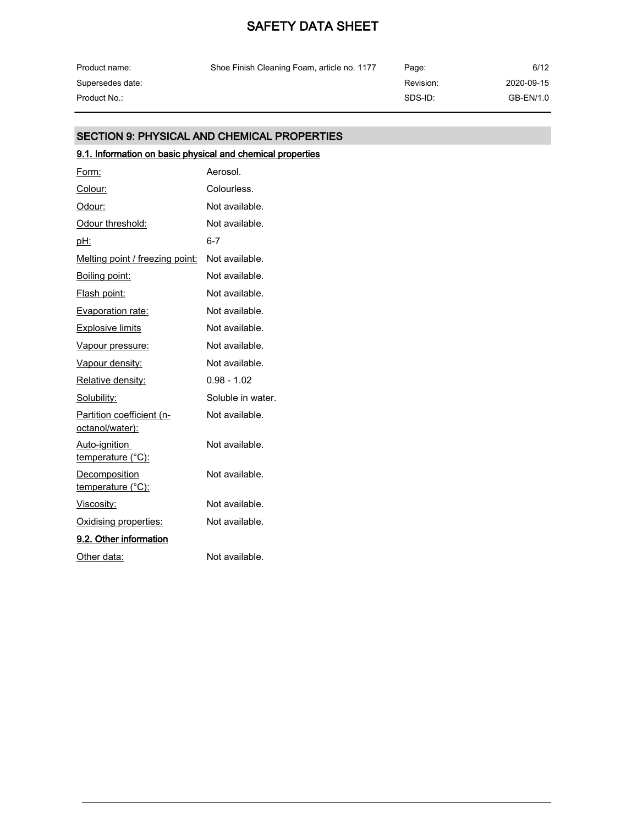| Product name:    | Shoe Finish Cleaning Foam, article no. 1177 | Page:     | 6/12       |
|------------------|---------------------------------------------|-----------|------------|
| Supersedes date: |                                             | Revision: | 2020-09-15 |
| Product No.: .   |                                             | SDS-ID:   | GB-EN/1.0  |

## SECTION 9: PHYSICAL AND CHEMICAL PROPERTIES

# 9.1. Information on basic physical and chemical properties

| Form:                                        | Aerosol.          |
|----------------------------------------------|-------------------|
| Colour:                                      | Colourless.       |
| Odour:                                       | Not available.    |
| Odour threshold:                             | Not available.    |
| pH:                                          | 6-7               |
| Melting point / freezing point:              | Not available.    |
| Boiling point:                               | Not available.    |
| Flash point:                                 | Not available.    |
| Evaporation rate:                            | Not available.    |
| <b>Explosive limits</b>                      | Not available.    |
| Vapour pressure:                             | Not available.    |
| Vapour density:                              | Not available.    |
| Relative density:                            | $0.98 - 1.02$     |
| Solubility:                                  | Soluble in water. |
| Partition coefficient (n-<br>octanol/water): | Not available.    |
| Auto-ignition<br><u>temperature (°C):</u>    | Not available.    |
| Decomposition<br><u>temperature (°C):</u>    | Not available.    |
| Viscosity:                                   | Not available.    |
| Oxidising properties:                        | Not available.    |
| 9.2. Other information                       |                   |
| Other data:                                  | Not available.    |
|                                              |                   |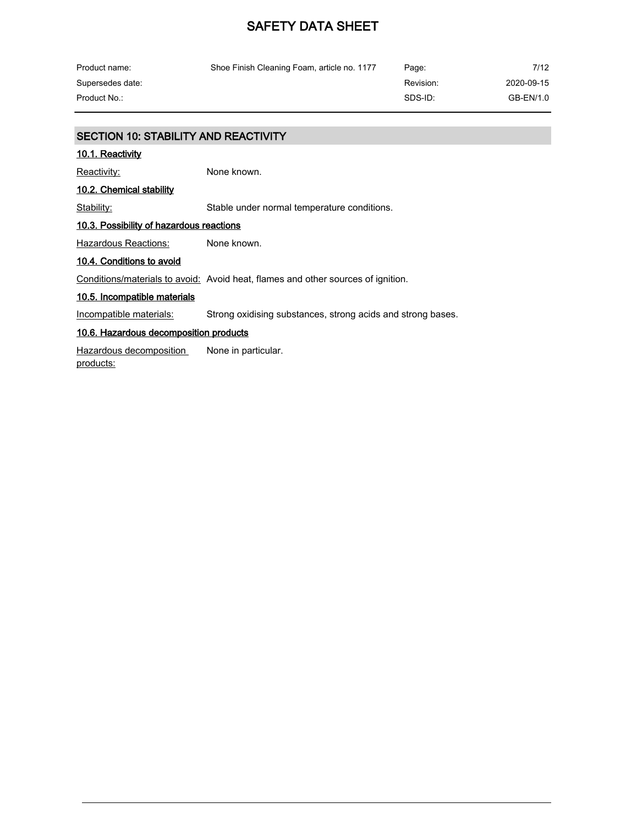| Product name:    | Shoe Finish Cleaning Foam, article no. 1177 | Page:     | 7/12       |
|------------------|---------------------------------------------|-----------|------------|
| Supersedes date: |                                             | Revision: | 2020-09-15 |
| Product No.:     |                                             | SDS-ID:   | GB-EN/1.0  |

### SECTION 10: STABILITY AND REACTIVITY

#### 10.1. Reactivity

Reactivity: None known.

# 10.2. Chemical stability

Stability: Stable under normal temperature conditions.

#### 10.3. Possibility of hazardous reactions

Hazardous Reactions: None known.

#### 10.4. Conditions to avoid

Conditions/materials to avoid: Avoid heat, flames and other sources of ignition.

#### 10.5. Incompatible materials

Incompatible materials: Strong oxidising substances, strong acids and strong bases.

#### 10.6. Hazardous decomposition products

Hazardous decomposition products: None in particular.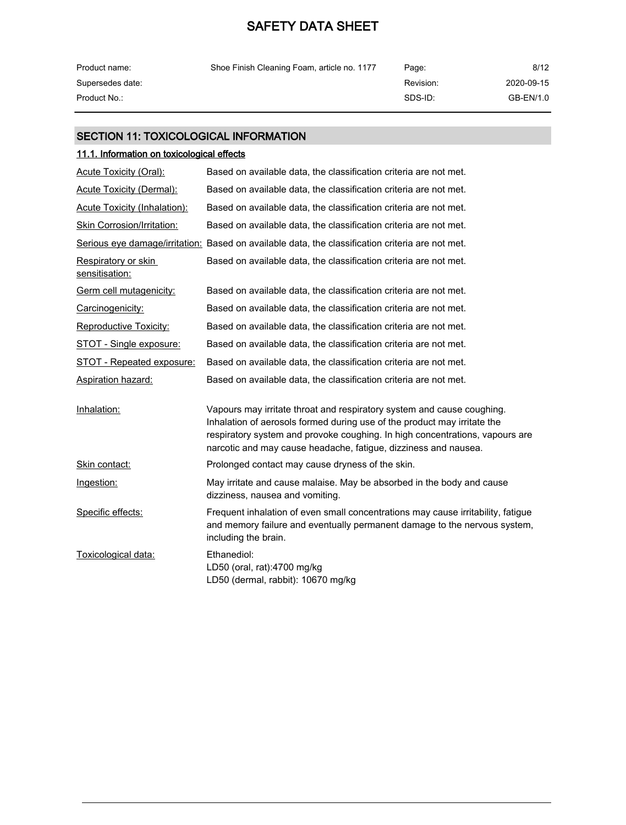| Product name:    | Shoe Finish Cleaning Foam, article no. 1177 | Page:     | 8/12       |
|------------------|---------------------------------------------|-----------|------------|
| Supersedes date: |                                             | Revision: | 2020-09-15 |
| Product No.:     |                                             | SDS-ID:   | GB-EN/1.0  |

# SECTION 11: TOXICOLOGICAL INFORMATION

# 11.1. Information on toxicological effects

| Acute Toxicity (Oral):                | Based on available data, the classification criteria are not met.                                                                                                                                                                                                                                     |
|---------------------------------------|-------------------------------------------------------------------------------------------------------------------------------------------------------------------------------------------------------------------------------------------------------------------------------------------------------|
| <b>Acute Toxicity (Dermal):</b>       | Based on available data, the classification criteria are not met.                                                                                                                                                                                                                                     |
| <b>Acute Toxicity (Inhalation):</b>   | Based on available data, the classification criteria are not met.                                                                                                                                                                                                                                     |
| <b>Skin Corrosion/Irritation:</b>     | Based on available data, the classification criteria are not met.                                                                                                                                                                                                                                     |
|                                       | Serious eye damage/irritation: Based on available data, the classification criteria are not met.                                                                                                                                                                                                      |
| Respiratory or skin<br>sensitisation: | Based on available data, the classification criteria are not met.                                                                                                                                                                                                                                     |
| Germ cell mutagenicity:               | Based on available data, the classification criteria are not met.                                                                                                                                                                                                                                     |
| Carcinogenicity:                      | Based on available data, the classification criteria are not met.                                                                                                                                                                                                                                     |
| <b>Reproductive Toxicity:</b>         | Based on available data, the classification criteria are not met.                                                                                                                                                                                                                                     |
| STOT - Single exposure:               | Based on available data, the classification criteria are not met.                                                                                                                                                                                                                                     |
| <b>STOT - Repeated exposure:</b>      | Based on available data, the classification criteria are not met.                                                                                                                                                                                                                                     |
| <b>Aspiration hazard:</b>             | Based on available data, the classification criteria are not met.                                                                                                                                                                                                                                     |
| Inhalation:                           | Vapours may irritate throat and respiratory system and cause coughing.<br>Inhalation of aerosols formed during use of the product may irritate the<br>respiratory system and provoke coughing. In high concentrations, vapours are<br>narcotic and may cause headache, fatigue, dizziness and nausea. |
| Skin contact:                         | Prolonged contact may cause dryness of the skin.                                                                                                                                                                                                                                                      |
| Ingestion:                            | May irritate and cause malaise. May be absorbed in the body and cause<br>dizziness, nausea and vomiting.                                                                                                                                                                                              |
| Specific effects:                     | Frequent inhalation of even small concentrations may cause irritability, fatigue<br>and memory failure and eventually permanent damage to the nervous system,<br>including the brain.                                                                                                                 |
| Toxicological data:                   | Ethanediol:<br>LD50 (oral, rat):4700 mg/kg<br>LD50 (dermal, rabbit): 10670 mg/kg                                                                                                                                                                                                                      |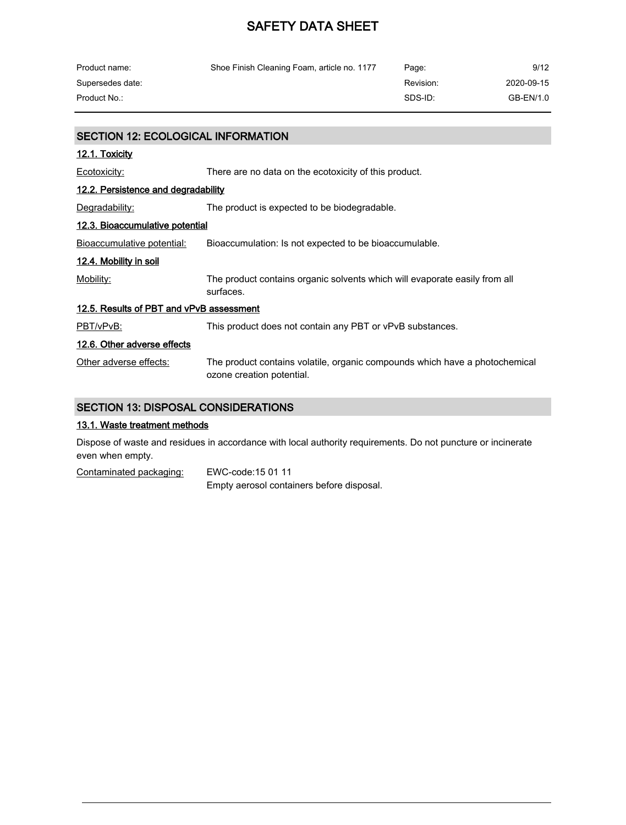| Product name:                             | Shoe Finish Cleaning Foam, article no. 1177                                             | Page:     | 9/12       |
|-------------------------------------------|-----------------------------------------------------------------------------------------|-----------|------------|
| Supersedes date:                          |                                                                                         | Revision: | 2020-09-15 |
| Product No.:                              |                                                                                         | SDS-ID:   | GB-EN/1.0  |
|                                           |                                                                                         |           |            |
| <b>SECTION 12: ECOLOGICAL INFORMATION</b> |                                                                                         |           |            |
| 12.1. Toxicity                            |                                                                                         |           |            |
| Ecotoxicity:                              | There are no data on the ecotoxicity of this product.                                   |           |            |
| 12.2. Persistence and degradability       |                                                                                         |           |            |
| Degradability:                            | The product is expected to be biodegradable.                                            |           |            |
| <u>12.3. Bioaccumulative potential</u>    |                                                                                         |           |            |
| Bioaccumulative potential:                | Bioaccumulation: Is not expected to be bioaccumulable.                                  |           |            |
| 12.4. Mobility in soil                    |                                                                                         |           |            |
| Mobility:                                 | The product contains organic solvents which will evaporate easily from all<br>surfaces. |           |            |

12.5. Results of PBT and vPvB assessment

PBT/vPvB: This product does not contain any PBT or vPvB substances.

#### 12.6. Other adverse effects

Other adverse effects: The product contains volatile, organic compounds which have a photochemical ozone creation potential.

### SECTION 13: DISPOSAL CONSIDERATIONS

#### 13.1. Waste treatment methods

Dispose of waste and residues in accordance with local authority requirements. Do not puncture or incinerate even when empty.

Contaminated packaging: EWC-code:15 01 11 Empty aerosol containers before disposal.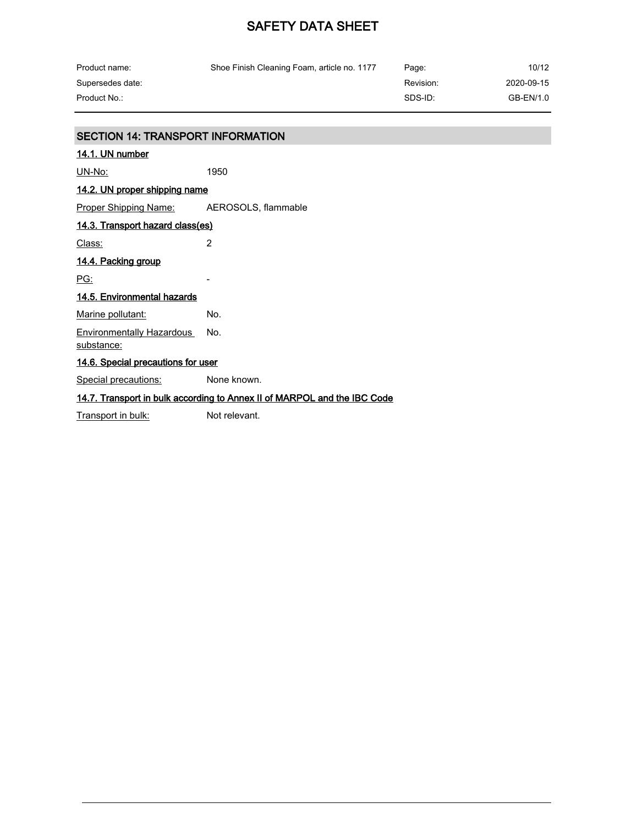| Product name:                            | Shoe Finish Cleaning Foam, article no. 1177 | Page:     | 10/12      |
|------------------------------------------|---------------------------------------------|-----------|------------|
| Supersedes date:                         |                                             | Revision: | 2020-09-15 |
| Product No.:                             |                                             | SDS-ID:   | GB-EN/1.0  |
|                                          |                                             |           |            |
| <b>SECTION 14: TRANSPORT INFORMATION</b> |                                             |           |            |

| 14.1. UN number                                                          |             |
|--------------------------------------------------------------------------|-------------|
| UN-No:                                                                   | 1950        |
| <u>14.2. UN proper shipping name</u>                                     |             |
| <b>Proper Shipping Name:</b> AEROSOLS, flammable                         |             |
| 14.3. Transport hazard class(es)                                         |             |
| Class:                                                                   | 2           |
| 14.4. Packing group                                                      |             |
| <u>PG:</u>                                                               |             |
| 14.5. Environmental hazards                                              |             |
| Marine pollutant:                                                        | No.         |
| Environmentally Hazardous<br>substance:                                  | No.         |
| 14.6. Special precautions for user                                       |             |
| <u>Special precautions:</u>                                              | None known. |
| 14.7. Transport in bulk according to Annex II of MARPOL and the IBC Code |             |

Transport in bulk: Not relevant.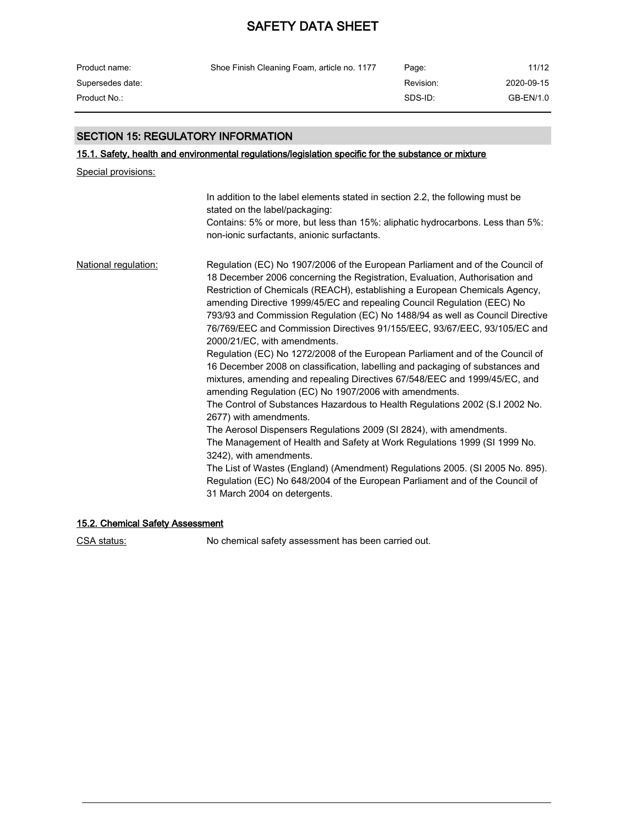| Product name:    | Shoe Finish Cleaning Foam, article no. 1177 | Page:     | 11/12      |
|------------------|---------------------------------------------|-----------|------------|
| Supersedes date: |                                             | Revision: | 2020-09-15 |
| Product No.:     |                                             | SDS-ID:   | GB-EN/1.0  |

# SECTION 15: REGULATORY INFORMATION

# 15.1. Safety, health and environmental regulations/legislation specific for the substance or mixture

Special provisions:

|                             | In addition to the label elements stated in section 2.2, the following must be<br>stated on the label/packaging:<br>Contains: 5% or more, but less than 15%: aliphatic hydrocarbons. Less than 5%:<br>non-ionic surfactants, anionic surfactants.                                                                                                                                                                                                                                                                                                                                                                                                                                                                                                                                                                                                                                                                                                                                                                                                                                                                                                                                                                                                                                                                        |
|-----------------------------|--------------------------------------------------------------------------------------------------------------------------------------------------------------------------------------------------------------------------------------------------------------------------------------------------------------------------------------------------------------------------------------------------------------------------------------------------------------------------------------------------------------------------------------------------------------------------------------------------------------------------------------------------------------------------------------------------------------------------------------------------------------------------------------------------------------------------------------------------------------------------------------------------------------------------------------------------------------------------------------------------------------------------------------------------------------------------------------------------------------------------------------------------------------------------------------------------------------------------------------------------------------------------------------------------------------------------|
| <b>National regulation:</b> | Regulation (EC) No 1907/2006 of the European Parliament and of the Council of<br>18 December 2006 concerning the Registration, Evaluation, Authorisation and<br>Restriction of Chemicals (REACH), establishing a European Chemicals Agency,<br>amending Directive 1999/45/EC and repealing Council Regulation (EEC) No<br>793/93 and Commission Regulation (EC) No 1488/94 as well as Council Directive<br>76/769/EEC and Commission Directives 91/155/EEC, 93/67/EEC, 93/105/EC and<br>2000/21/EC, with amendments.<br>Regulation (EC) No 1272/2008 of the European Parliament and of the Council of<br>16 December 2008 on classification, labelling and packaging of substances and<br>mixtures, amending and repealing Directives 67/548/EEC and 1999/45/EC, and<br>amending Regulation (EC) No 1907/2006 with amendments.<br>The Control of Substances Hazardous to Health Regulations 2002 (S.I 2002 No.<br>2677) with amendments.<br>The Aerosol Dispensers Regulations 2009 (SI 2824), with amendments.<br>The Management of Health and Safety at Work Regulations 1999 (SI 1999 No.<br>3242), with amendments.<br>The List of Wastes (England) (Amendment) Regulations 2005. (SI 2005 No. 895).<br>Regulation (EC) No 648/2004 of the European Parliament and of the Council of<br>31 March 2004 on detergents. |

# 15.2. Chemical Safety Assessment

CSA status: No chemical safety assessment has been carried out.